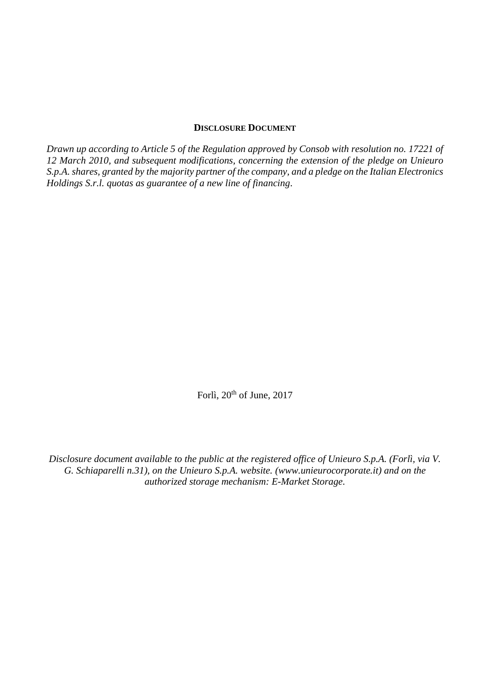#### **DISCLOSURE DOCUMENT**

*Drawn up according to Article 5 of the Regulation approved by Consob with resolution no. 17221 of 12 March 2010, and subsequent modifications, concerning the extension of the pledge on Unieuro S.p.A. shares, granted by the majority partner of the company, and a pledge on the Italian Electronics Holdings S.r.l. quotas as guarantee of a new line of financing*.

Forlì, 20<sup>th</sup> of June, 2017

*Disclosure document available to the public at the registered office of Unieuro S.p.A. (Forlì, via V. G. Schiaparelli n.31), on the Unieuro S.p.A. website. (www.unieurocorporate.it) and on the authorized storage mechanism: E-Market Storage.*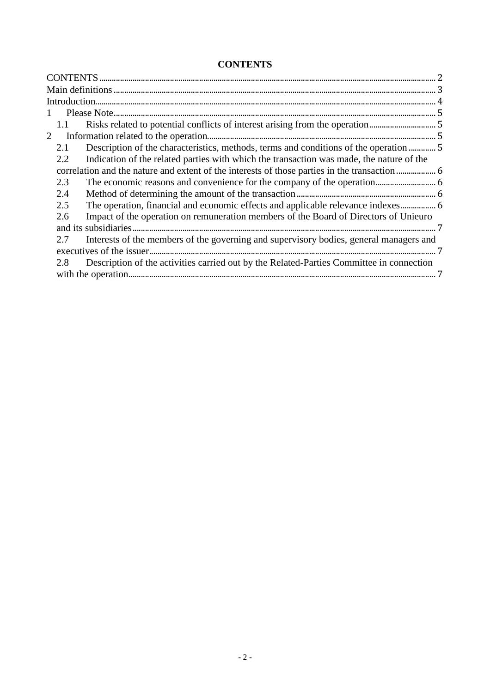# **CONTENTS**

| $\mathbf{1}$   |                                                                                          |  |
|----------------|------------------------------------------------------------------------------------------|--|
| 1.1            | Risks related to potential conflicts of interest arising from the operation5             |  |
| $\overline{2}$ |                                                                                          |  |
| 2.1            | Description of the characteristics, methods, terms and conditions of the operation       |  |
| 2.2            | Indication of the related parties with which the transaction was made, the nature of the |  |
|                |                                                                                          |  |
| 2.3            |                                                                                          |  |
| 2.4            |                                                                                          |  |
| 2.5            | The operation, financial and economic effects and applicable relevance indexes 6         |  |
| 2.6            | Impact of the operation on remuneration members of the Board of Directors of Unieuro     |  |
|                |                                                                                          |  |
| 2.7            | Interests of the members of the governing and supervisory bodies, general managers and   |  |
|                |                                                                                          |  |
| 2.8            | Description of the activities carried out by the Related-Parties Committee in connection |  |
|                |                                                                                          |  |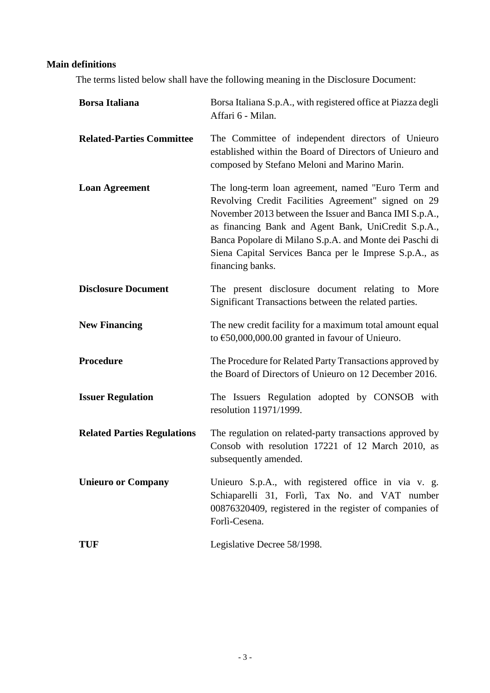# **Main definitions**

The terms listed below shall have the following meaning in the Disclosure Document:

| <b>Borsa Italiana</b>              | Borsa Italiana S.p.A., with registered office at Piazza degli<br>Affari 6 - Milan.                                                                                                                                                                                                                                                                                  |
|------------------------------------|---------------------------------------------------------------------------------------------------------------------------------------------------------------------------------------------------------------------------------------------------------------------------------------------------------------------------------------------------------------------|
| <b>Related-Parties Committee</b>   | The Committee of independent directors of Unieuro<br>established within the Board of Directors of Unieuro and<br>composed by Stefano Meloni and Marino Marin.                                                                                                                                                                                                       |
| <b>Loan Agreement</b>              | The long-term loan agreement, named "Euro Term and<br>Revolving Credit Facilities Agreement" signed on 29<br>November 2013 between the Issuer and Banca IMI S.p.A.,<br>as financing Bank and Agent Bank, UniCredit S.p.A.,<br>Banca Popolare di Milano S.p.A. and Monte dei Paschi di<br>Siena Capital Services Banca per le Imprese S.p.A., as<br>financing banks. |
| <b>Disclosure Document</b>         | The present disclosure document relating to More<br>Significant Transactions between the related parties.                                                                                                                                                                                                                                                           |
| <b>New Financing</b>               | The new credit facility for a maximum total amount equal<br>to $\text{\textsterling}50,000,000.00$ granted in favour of Unieuro.                                                                                                                                                                                                                                    |
| <b>Procedure</b>                   | The Procedure for Related Party Transactions approved by<br>the Board of Directors of Unieuro on 12 December 2016.                                                                                                                                                                                                                                                  |
| <b>Issuer Regulation</b>           | The Issuers Regulation adopted by CONSOB with<br>resolution 11971/1999.                                                                                                                                                                                                                                                                                             |
| <b>Related Parties Regulations</b> | The regulation on related-party transactions approved by<br>Consob with resolution 17221 of 12 March 2010, as<br>subsequently amended.                                                                                                                                                                                                                              |
| <b>Unieuro or Company</b>          | Unieuro S.p.A., with registered office in via v. g.<br>Schiaparelli 31, Forlì, Tax No. and VAT number<br>00876320409, registered in the register of companies of<br>Forlì-Cesena.                                                                                                                                                                                   |
| <b>TUF</b>                         | Legislative Decree 58/1998.                                                                                                                                                                                                                                                                                                                                         |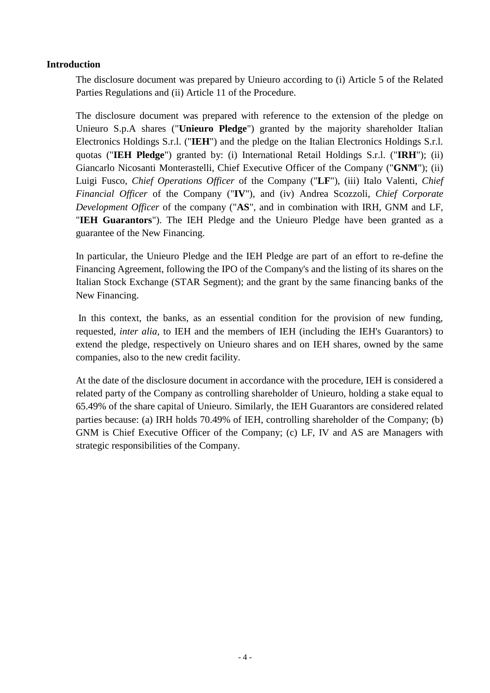#### **Introduction**

The disclosure document was prepared by Unieuro according to (i) Article 5 of the Related Parties Regulations and (ii) Article 11 of the Procedure.

The disclosure document was prepared with reference to the extension of the pledge on Unieuro S.p.A shares ("**Unieuro Pledge**") granted by the majority shareholder Italian Electronics Holdings S.r.l. ("**IEH**") and the pledge on the Italian Electronics Holdings S.r.l. quotas ("**IEH Pledge**") granted by: (i) International Retail Holdings S.r.l. ("**IRH**"); (ii) Giancarlo Nicosanti Monterastelli, Chief Executive Officer of the Company ("**GNM**"); (ii) Luigi Fusco, *Chief Operations Officer* of the Company ("**LF**"), (iii) Italo Valenti, *Chief Financial Officer* of the Company ("**IV**"), and (iv) Andrea Scozzoli, *Chief Corporate Development Officer* of the company ("**AS**", and in combination with IRH, GNM and LF, "**IEH Guarantors**"). The IEH Pledge and the Unieuro Pledge have been granted as a guarantee of the New Financing.

In particular, the Unieuro Pledge and the IEH Pledge are part of an effort to re-define the Financing Agreement, following the IPO of the Company's and the listing of its shares on the Italian Stock Exchange (STAR Segment); and the grant by the same financing banks of the New Financing.

In this context, the banks, as an essential condition for the provision of new funding, requested, *inter alia*, to IEH and the members of IEH (including the IEH's Guarantors) to extend the pledge, respectively on Unieuro shares and on IEH shares, owned by the same companies, also to the new credit facility.

At the date of the disclosure document in accordance with the procedure, IEH is considered a related party of the Company as controlling shareholder of Unieuro, holding a stake equal to 65.49% of the share capital of Unieuro. Similarly, the IEH Guarantors are considered related parties because: (a) IRH holds 70.49% of IEH, controlling shareholder of the Company; (b) GNM is Chief Executive Officer of the Company; (c) LF, IV and AS are Managers with strategic responsibilities of the Company.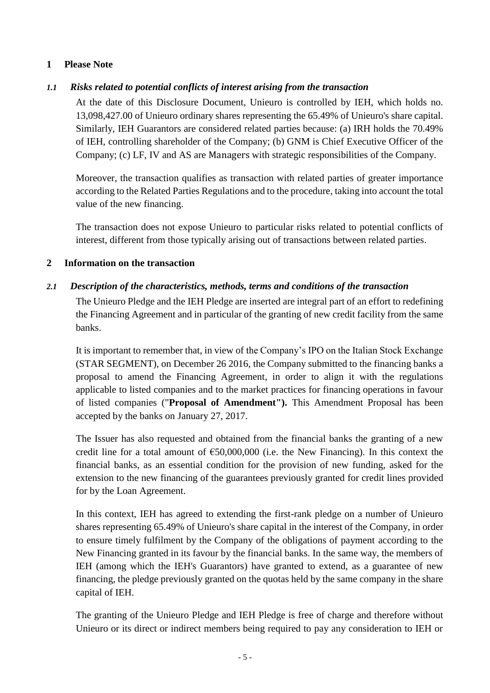### **1 Please Note**

## *1.1 Risks related to potential conflicts of interest arising from the transaction*

At the date of this Disclosure Document, Unieuro is controlled by IEH, which holds no. 13,098,427.00 of Unieuro ordinary shares representing the 65.49% of Unieuro's share capital. Similarly, IEH Guarantors are considered related parties because: (a) IRH holds the 70.49% of IEH, controlling shareholder of the Company; (b) GNM is Chief Executive Officer of the Company; (c) LF, IV and AS are Managers with strategic responsibilities of the Company.

Moreover, the transaction qualifies as transaction with related parties of greater importance according to the Related Parties Regulations and to the procedure, taking into account the total value of the new financing.

The transaction does not expose Unieuro to particular risks related to potential conflicts of interest, different from those typically arising out of transactions between related parties.

### **2 Information on the transaction**

## *2.1 Description of the characteristics, methods, terms and conditions of the transaction*

The Unieuro Pledge and the IEH Pledge are inserted are integral part of an effort to redefining the Financing Agreement and in particular of the granting of new credit facility from the same banks.

It is important to remember that, in view of the Company's IPO on the Italian Stock Exchange (STAR SEGMENT), on December 26 2016, the Company submitted to the financing banks a proposal to amend the Financing Agreement, in order to align it with the regulations applicable to listed companies and to the market practices for financing operations in favour of listed companies ("**Proposal of Amendment").** This Amendment Proposal has been accepted by the banks on January 27, 2017.

The Issuer has also requested and obtained from the financial banks the granting of a new credit line for a total amount of €50,000,000 (i.e. the New Financing). In this context the financial banks, as an essential condition for the provision of new funding, asked for the extension to the new financing of the guarantees previously granted for credit lines provided for by the Loan Agreement.

In this context, IEH has agreed to extending the first-rank pledge on a number of Unieuro shares representing 65.49% of Unieuro's share capital in the interest of the Company, in order to ensure timely fulfilment by the Company of the obligations of payment according to the New Financing granted in its favour by the financial banks. In the same way, the members of IEH (among which the IEH's Guarantors) have granted to extend, as a guarantee of new financing, the pledge previously granted on the quotas held by the same company in the share capital of IEH.

The granting of the Unieuro Pledge and IEH Pledge is free of charge and therefore without Unieuro or its direct or indirect members being required to pay any consideration to IEH or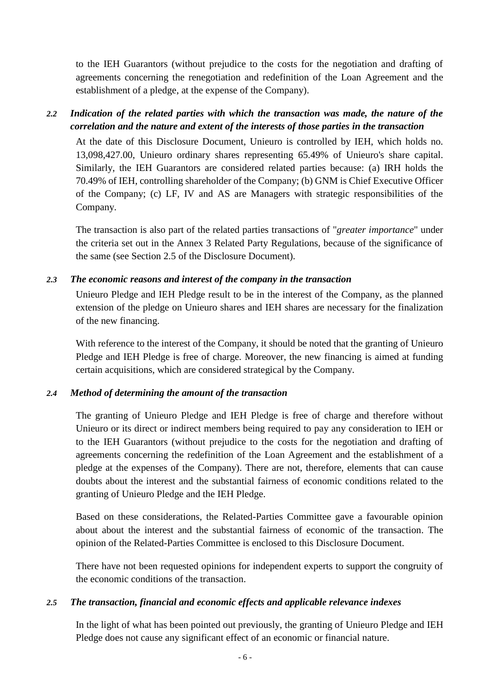to the IEH Guarantors (without prejudice to the costs for the negotiation and drafting of agreements concerning the renegotiation and redefinition of the Loan Agreement and the establishment of a pledge, at the expense of the Company).

## *2.2 Indication of the related parties with which the transaction was made, the nature of the correlation and the nature and extent of the interests of those parties in the transaction*

At the date of this Disclosure Document, Unieuro is controlled by IEH, which holds no. 13,098,427.00, Unieuro ordinary shares representing 65.49% of Unieuro's share capital. Similarly, the IEH Guarantors are considered related parties because: (a) IRH holds the 70.49% of IEH, controlling shareholder of the Company; (b) GNM is Chief Executive Officer of the Company; (c) LF, IV and AS are Managers with strategic responsibilities of the Company.

The transaction is also part of the related parties transactions of "*greater importance*" under the criteria set out in the Annex 3 Related Party Regulations, because of the significance of the same (see Section 2.5 of the Disclosure Document).

#### *2.3 The economic reasons and interest of the company in the transaction*

Unieuro Pledge and IEH Pledge result to be in the interest of the Company, as the planned extension of the pledge on Unieuro shares and IEH shares are necessary for the finalization of the new financing.

With reference to the interest of the Company, it should be noted that the granting of Unieuro Pledge and IEH Pledge is free of charge. Moreover, the new financing is aimed at funding certain acquisitions, which are considered strategical by the Company.

### *2.4 Method of determining the amount of the transaction*

The granting of Unieuro Pledge and IEH Pledge is free of charge and therefore without Unieuro or its direct or indirect members being required to pay any consideration to IEH or to the IEH Guarantors (without prejudice to the costs for the negotiation and drafting of agreements concerning the redefinition of the Loan Agreement and the establishment of a pledge at the expenses of the Company). There are not, therefore, elements that can cause doubts about the interest and the substantial fairness of economic conditions related to the granting of Unieuro Pledge and the IEH Pledge.

Based on these considerations, the Related-Parties Committee gave a favourable opinion about about the interest and the substantial fairness of economic of the transaction. The opinion of the Related-Parties Committee is enclosed to this Disclosure Document.

There have not been requested opinions for independent experts to support the congruity of the economic conditions of the transaction.

### *2.5 The transaction, financial and economic effects and applicable relevance indexes*

In the light of what has been pointed out previously, the granting of Unieuro Pledge and IEH Pledge does not cause any significant effect of an economic or financial nature.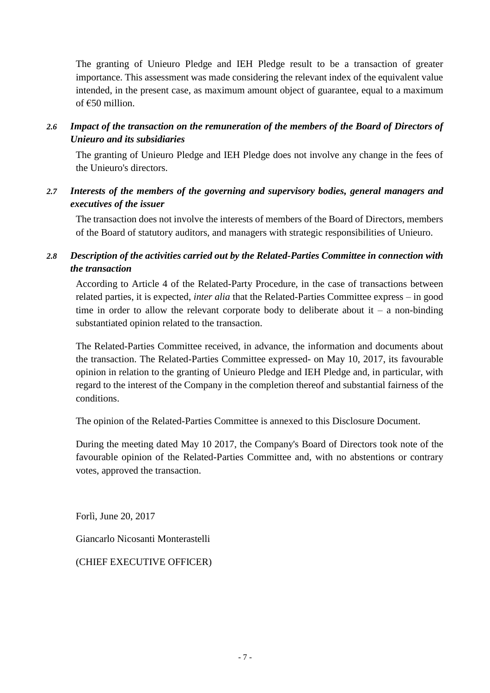The granting of Unieuro Pledge and IEH Pledge result to be a transaction of greater importance. This assessment was made considering the relevant index of the equivalent value intended, in the present case, as maximum amount object of guarantee, equal to a maximum of €50 million.

*2.6 Impact of the transaction on the remuneration of the members of the Board of Directors of Unieuro and its subsidiaries*

The granting of Unieuro Pledge and IEH Pledge does not involve any change in the fees of the Unieuro's directors.

*2.7 Interests of the members of the governing and supervisory bodies, general managers and executives of the issuer* 

The transaction does not involve the interests of members of the Board of Directors, members of the Board of statutory auditors, and managers with strategic responsibilities of Unieuro.

# *2.8 Description of the activities carried out by the Related-Parties Committee in connection with the transaction*

According to Article 4 of the Related-Party Procedure, in the case of transactions between related parties, it is expected, *inter alia* that the Related-Parties Committee express – in good time in order to allow the relevant corporate body to deliberate about it – a non-binding substantiated opinion related to the transaction.

The Related-Parties Committee received, in advance, the information and documents about the transaction. The Related-Parties Committee expressed- on May 10, 2017, its favourable opinion in relation to the granting of Unieuro Pledge and IEH Pledge and, in particular, with regard to the interest of the Company in the completion thereof and substantial fairness of the conditions.

The opinion of the Related-Parties Committee is annexed to this Disclosure Document.

During the meeting dated May 10 2017, the Company's Board of Directors took note of the favourable opinion of the Related-Parties Committee and, with no abstentions or contrary votes, approved the transaction.

Forlì, June 20, 2017

Giancarlo Nicosanti Monterastelli

(CHIEF EXECUTIVE OFFICER)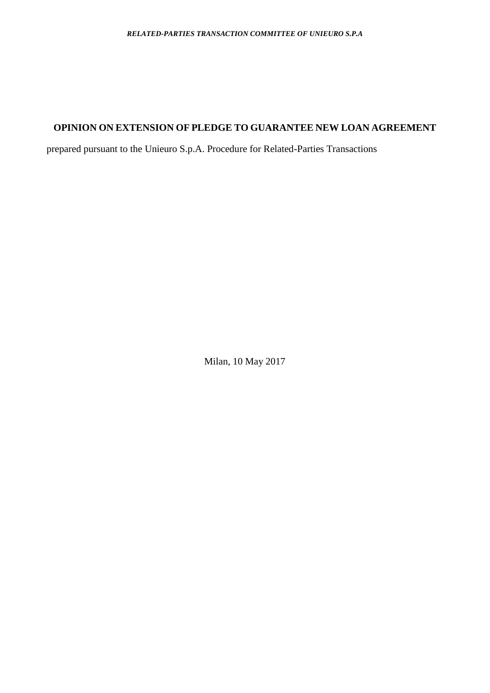## **OPINION ON EXTENSION OF PLEDGE TO GUARANTEE NEW LOAN AGREEMENT**

prepared pursuant to the Unieuro S.p.A. Procedure for Related-Parties Transactions

Milan, 10 May 2017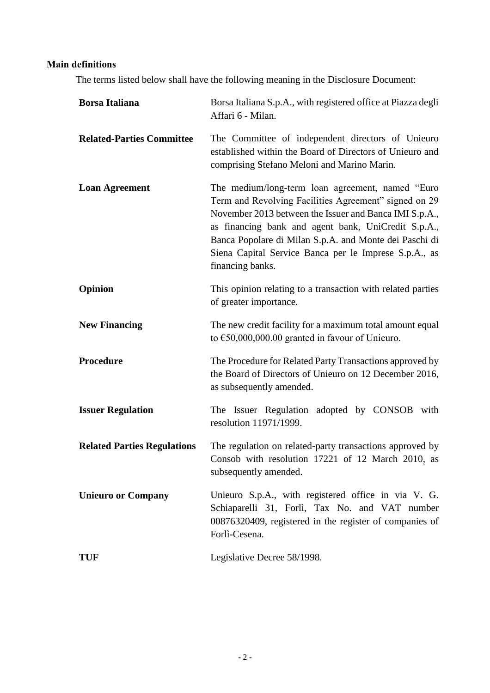# **Main definitions**

The terms listed below shall have the following meaning in the Disclosure Document:

| <b>Borsa Italiana</b>              | Borsa Italiana S.p.A., with registered office at Piazza degli<br>Affari 6 - Milan.                                                                                                                                                                                                                                                                                 |
|------------------------------------|--------------------------------------------------------------------------------------------------------------------------------------------------------------------------------------------------------------------------------------------------------------------------------------------------------------------------------------------------------------------|
| <b>Related-Parties Committee</b>   | The Committee of independent directors of Unieuro<br>established within the Board of Directors of Unieuro and<br>comprising Stefano Meloni and Marino Marin.                                                                                                                                                                                                       |
| <b>Loan Agreement</b>              | The medium/long-term loan agreement, named "Euro"<br>Term and Revolving Facilities Agreement" signed on 29<br>November 2013 between the Issuer and Banca IMI S.p.A.,<br>as financing bank and agent bank, UniCredit S.p.A.,<br>Banca Popolare di Milan S.p.A. and Monte dei Paschi di<br>Siena Capital Service Banca per le Imprese S.p.A., as<br>financing banks. |
| Opinion                            | This opinion relating to a transaction with related parties<br>of greater importance.                                                                                                                                                                                                                                                                              |
| <b>New Financing</b>               | The new credit facility for a maximum total amount equal<br>to $\text{\textsterling}50,000,000.00$ granted in favour of Unieuro.                                                                                                                                                                                                                                   |
| Procedure                          | The Procedure for Related Party Transactions approved by<br>the Board of Directors of Unieuro on 12 December 2016,<br>as subsequently amended.                                                                                                                                                                                                                     |
| <b>Issuer Regulation</b>           | The Issuer Regulation adopted by CONSOB with<br>resolution 11971/1999.                                                                                                                                                                                                                                                                                             |
| <b>Related Parties Regulations</b> | The regulation on related-party transactions approved by<br>Consob with resolution 17221 of 12 March 2010, as<br>subsequently amended.                                                                                                                                                                                                                             |
| <b>Unieuro or Company</b>          | Unieuro S.p.A., with registered office in via V. G.<br>Schiaparelli 31, Forlì, Tax No. and VAT number<br>00876320409, registered in the register of companies of<br>Forlì-Cesena.                                                                                                                                                                                  |
| TUF                                | Legislative Decree 58/1998.                                                                                                                                                                                                                                                                                                                                        |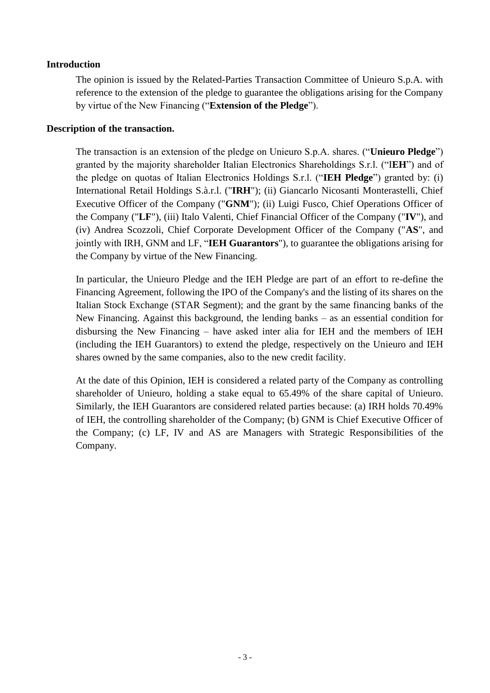#### **Introduction**

The opinion is issued by the Related-Parties Transaction Committee of Unieuro S.p.A. with reference to the extension of the pledge to guarantee the obligations arising for the Company by virtue of the New Financing ("**Extension of the Pledge**").

#### **Description of the transaction.**

The transaction is an extension of the pledge on Unieuro S.p.A. shares. ("**Unieuro Pledge**") granted by the majority shareholder Italian Electronics Shareholdings S.r.l. ("I**EH**") and of the pledge on quotas of Italian Electronics Holdings S.r.l. ("**IEH Pledge**") granted by: (i) International Retail Holdings S.à.r.l. ("**IRH**"); (ii) Giancarlo Nicosanti Monterastelli, Chief Executive Officer of the Company ("**GNM**"); (ii) Luigi Fusco, Chief Operations Officer of the Company ("**LF**"), (iii) Italo Valenti, Chief Financial Officer of the Company ("**IV**"), and (iv) Andrea Scozzoli, Chief Corporate Development Officer of the Company ("**AS**", and jointly with IRH, GNM and LF, "**IEH Guarantors**"), to guarantee the obligations arising for the Company by virtue of the New Financing.

In particular, the Unieuro Pledge and the IEH Pledge are part of an effort to re-define the Financing Agreement, following the IPO of the Company's and the listing of its shares on the Italian Stock Exchange (STAR Segment); and the grant by the same financing banks of the New Financing. Against this background, the lending banks – as an essential condition for disbursing the New Financing – have asked inter alia for IEH and the members of IEH (including the IEH Guarantors) to extend the pledge, respectively on the Unieuro and IEH shares owned by the same companies, also to the new credit facility.

At the date of this Opinion, IEH is considered a related party of the Company as controlling shareholder of Unieuro, holding a stake equal to 65.49% of the share capital of Unieuro. Similarly, the IEH Guarantors are considered related parties because: (a) IRH holds 70.49% of IEH, the controlling shareholder of the Company; (b) GNM is Chief Executive Officer of the Company; (c) LF, IV and AS are Managers with Strategic Responsibilities of the Company.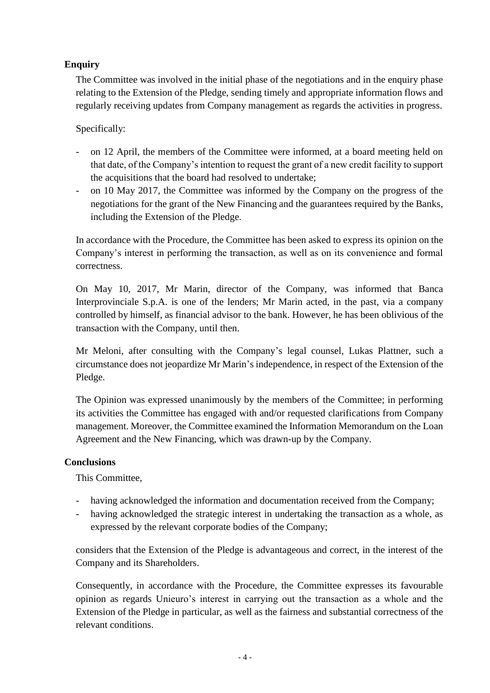# **Enquiry**

The Committee was involved in the initial phase of the negotiations and in the enquiry phase relating to the Extension of the Pledge, sending timely and appropriate information flows and regularly receiving updates from Company management as regards the activities in progress.

Specifically:

- on 12 April, the members of the Committee were informed, at a board meeting held on that date, of the Company's intention to request the grant of a new credit facility to support the acquisitions that the board had resolved to undertake;
- on 10 May 2017, the Committee was informed by the Company on the progress of the negotiations for the grant of the New Financing and the guarantees required by the Banks, including the Extension of the Pledge.

In accordance with the Procedure, the Committee has been asked to express its opinion on the Company's interest in performing the transaction, as well as on its convenience and formal correctness.

On May 10, 2017, Mr Marin, director of the Company, was informed that Banca Interprovinciale S.p.A. is one of the lenders; Mr Marin acted, in the past, via a company controlled by himself, as financial advisor to the bank. However, he has been oblivious of the transaction with the Company, until then.

Mr Meloni, after consulting with the Company's legal counsel, Lukas Plattner, such a circumstance does not jeopardize Mr Marin's independence, in respect of the Extension of the Pledge.

The Opinion was expressed unanimously by the members of the Committee; in performing its activities the Committee has engaged with and/or requested clarifications from Company management. Moreover, the Committee examined the Information Memorandum on the Loan Agreement and the New Financing, which was drawn-up by the Company.

### **Conclusions**

This Committee,

- having acknowledged the information and documentation received from the Company;
- having acknowledged the strategic interest in undertaking the transaction as a whole, as expressed by the relevant corporate bodies of the Company;

considers that the Extension of the Pledge is advantageous and correct, in the interest of the Company and its Shareholders.

Consequently, in accordance with the Procedure, the Committee expresses its favourable opinion as regards Unieuro's interest in carrying out the transaction as a whole and the Extension of the Pledge in particular, as well as the fairness and substantial correctness of the relevant conditions.